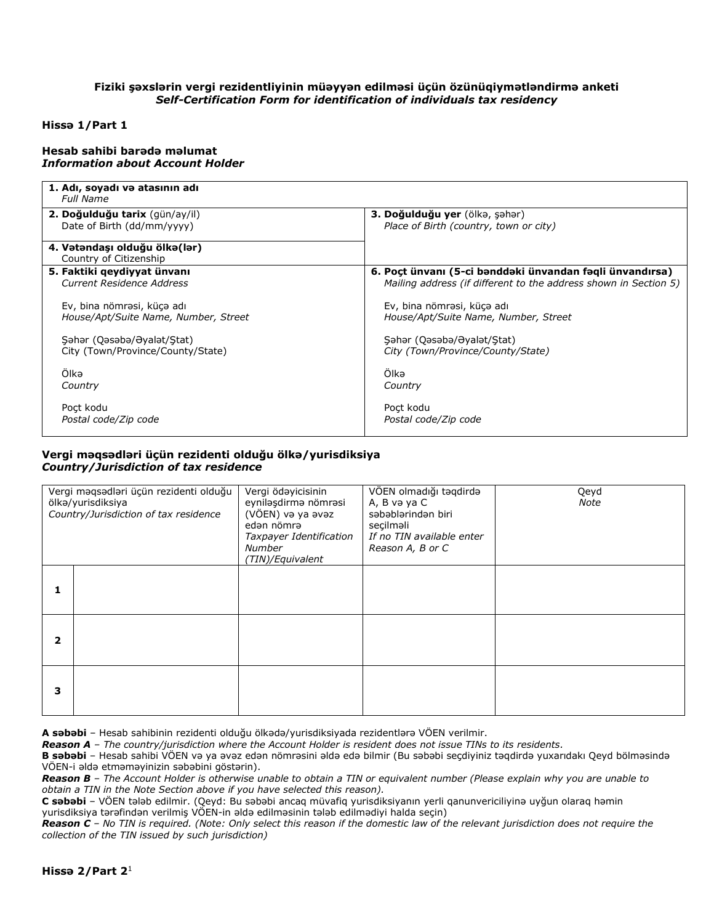## **Fiziki şəxslərin vergi rezidentliyinin müəyyən edilməsi üçün özünüqiymətləndirmə anketi** *Self-Certification Form for identification of individuals tax residency*

### **Hissə 1/Part 1**

#### **Hesab sahibi barədə məlumat**  *Information about Account Holder*

| 1. Adı, soyadı və atasının adı<br>Full Name                     |                                                                  |  |  |
|-----------------------------------------------------------------|------------------------------------------------------------------|--|--|
| 2. Doğulduğu tarix (gün/ay/il)                                  | 3. Doğulduğu yer (ölkə, şəhər)                                   |  |  |
| Date of Birth (dd/mm/yyyy)                                      | Place of Birth (country, town or city)                           |  |  |
| 4. Vətəndaşı olduğu ölkə(lər)<br>Country of Citizenship         |                                                                  |  |  |
| 5. Faktiki qeydiyyat ünvanı                                     | 6. Poçt ünvanı (5-ci bənddəki ünvandan fəqli ünvandırsa)         |  |  |
| Current Residence Address                                       | Mailing address (if different to the address shown in Section 5) |  |  |
| Ev, bina nömrəsi, küçə adı                                      | Ev, bina nömrəsi, küçə adı                                       |  |  |
| House/Apt/Suite Name, Number, Street                            | House/Apt/Suite Name, Number, Street                             |  |  |
|                                                                 |                                                                  |  |  |
| Səhər (Qəsəbə/Əyalət/Stat)<br>City (Town/Province/County/State) | Səhər (Qəsəbə/Əyalət/Stat)<br>City (Town/Province/County/State)  |  |  |
|                                                                 |                                                                  |  |  |
| Olkə                                                            | Ölkə                                                             |  |  |
| Country                                                         | Country                                                          |  |  |
| Poct kodu                                                       | Poct kodu                                                        |  |  |
| Postal code/Zip code                                            | Postal code/Zip code                                             |  |  |

## **Vergi məqsədləri üçün rezidenti olduğu ölkə/yurisdiksiya** *Country/Jurisdiction of tax residence*

| Vergi məqsədləri üçün rezidenti olduğu<br>ölkə/yurisdiksiya<br>Country/Jurisdiction of tax residence |  | Vergi ödəyicisinin<br>eyniləşdirmə nömrəsi<br>(VÖEN) və ya əvəz<br>edən nömrə<br>Taxpayer Identification<br>Number<br>(TIN)/Equivalent | VÖEN olmadığı təqdirdə<br>A, B və ya C<br>səbəblərindən biri<br>secilməli<br>If no TIN available enter<br>Reason A, B or C | Qeyd<br>Note |
|------------------------------------------------------------------------------------------------------|--|----------------------------------------------------------------------------------------------------------------------------------------|----------------------------------------------------------------------------------------------------------------------------|--------------|
|                                                                                                      |  |                                                                                                                                        |                                                                                                                            |              |
| 2                                                                                                    |  |                                                                                                                                        |                                                                                                                            |              |
| 3                                                                                                    |  |                                                                                                                                        |                                                                                                                            |              |

**A səbəbi** – Hesab sahibinin rezidenti olduğu ölkədə/yurisdiksiyada rezidentlərə VÖEN verilmir.

*Reason A – The country/jurisdiction where the Account Holder is resident does not issue TINs to its residents.*

**B səbəbi** – Hesab sahibi VÖEN və ya əvəz edən nömrəsini əldə edə bilmir (Bu səbəbi seçdiyiniz təqdirdə yuxarıdakı Qeyd bölməsində VÖEN-i əldə etməməyinizin səbəbini göstərin).

*Reason B – The Account Holder is otherwise unable to obtain a TIN or equivalent number (Please explain why you are unable to obtain a TIN in the Note Section above if you have selected this reason).* 

**C səbəbi** – VÖEN tələb edilmir. (Qeyd: Bu səbəbi ancaq müvafiq yurisdiksiyanın yerli qanunvericiliyinə uyğun olaraq həmin yurisdiksiya tərəfindən verilmiş VÖEN-in əldə edilməsinin tələb edilmədiyi halda seçin)

*Reason C – No TIN is required. (Note: Only select this reason if the domestic law of the relevant jurisdiction does not require the collection of the TIN issued by such jurisdiction)*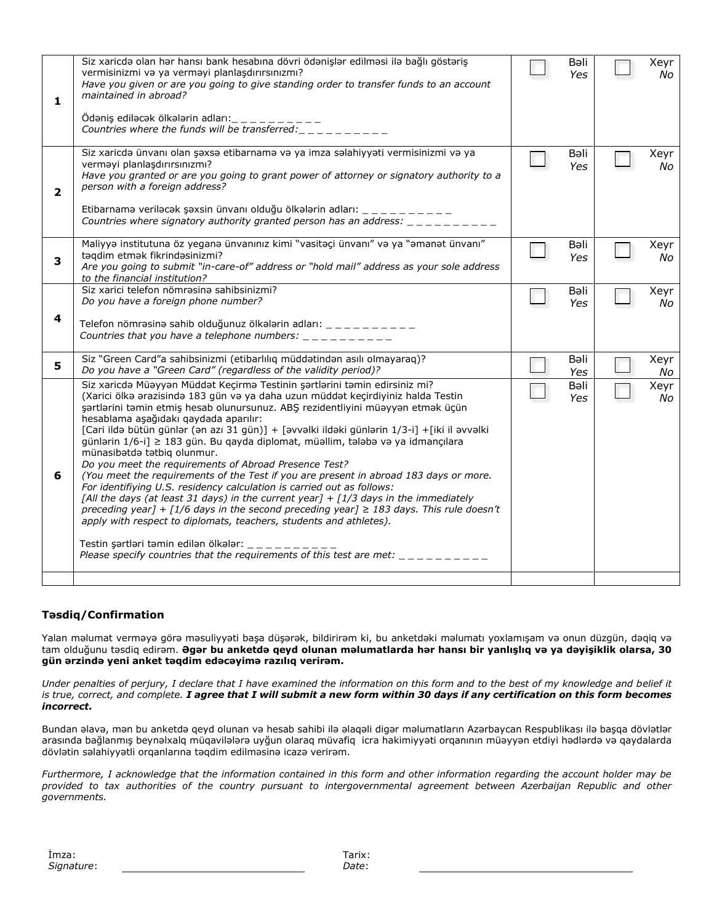| 1            | Siz xaricdə olan hər hansı bank hesabına dövri ödənişlər edilməsi ilə bağlı göstəriş<br>vermisinizmi və ya verməyi planlaşdırırsınızmı?<br>Have you given or are you going to give standing order to transfer funds to an account<br>maintained in abroad?<br>Ödəniş ediləcək ölkələrin adları:<br>————————————————————<br>Countries where the funds will be transferred:                                                                                                                                                                                                                                                                                                                                                                                                                                                                                                                                                                                                                                                                                                                                                                                                                            | Bəli<br>Yes | Xeyr<br>No |
|--------------|------------------------------------------------------------------------------------------------------------------------------------------------------------------------------------------------------------------------------------------------------------------------------------------------------------------------------------------------------------------------------------------------------------------------------------------------------------------------------------------------------------------------------------------------------------------------------------------------------------------------------------------------------------------------------------------------------------------------------------------------------------------------------------------------------------------------------------------------------------------------------------------------------------------------------------------------------------------------------------------------------------------------------------------------------------------------------------------------------------------------------------------------------------------------------------------------------|-------------|------------|
| $\mathbf{2}$ | Siz xaricdə ünvanı olan şəxsə etibarnamə və ya imza səlahiyyəti vermisinizmi və ya<br>verməyi planlaşdırırsınızmı?<br>Have you granted or are you going to grant power of attorney or signatory authority to a<br>person with a foreign address?<br>Etibarnamə veriləcək şəxsin ünvanı olduğu ölkələrin adları: _ _ _ _ _ _ _ _ _ _<br>Countries where signatory authority granted person has an address: $\frac{1}{1} - \frac{1}{1} - \frac{1}{1} - \frac{1}{1} - \frac{1}{1}$                                                                                                                                                                                                                                                                                                                                                                                                                                                                                                                                                                                                                                                                                                                      | Bəli<br>Yes | Xeyr<br>No |
| 3            | Maliyyə institutuna öz yeganə ünvanınız kimi "vasitəçi ünvanı" və ya "əmanət ünvanı"<br>təqdim etmək fikrindəsinizmi?<br>Are you going to submit "in-care-of" address or "hold mail" address as your sole address<br>to the financial institution?                                                                                                                                                                                                                                                                                                                                                                                                                                                                                                                                                                                                                                                                                                                                                                                                                                                                                                                                                   | Bəli<br>Yes | Xeyr<br>No |
| 4            | Siz xarici telefon nömrəsinə sahibsinizmi?<br>Do you have a foreign phone number?<br>Telefon nömrəsinə sahib olduğunuz ölkələrin adları: _ _ _ _ _ _ _ _ _ _<br>Countries that you have a telephone numbers: $\frac{1}{2}$ = $\frac{1}{2}$ = $\frac{1}{2}$ = $\frac{1}{2}$ = $\frac{1}{2}$                                                                                                                                                                                                                                                                                                                                                                                                                                                                                                                                                                                                                                                                                                                                                                                                                                                                                                           | Bəli<br>Yes | Xeyr<br>No |
| 5.           | Siz "Green Card"a sahibsinizmi (etibarlılıq müddətindən asılı olmayaraq)?<br>Do you have a "Green Card" (regardless of the validity period)?                                                                                                                                                                                                                                                                                                                                                                                                                                                                                                                                                                                                                                                                                                                                                                                                                                                                                                                                                                                                                                                         | Bəli<br>Yes | Xeyr<br>No |
| 6            | Siz xaricdə Müəyyən Müddət Keçirmə Testinin şərtlərini təmin edirsiniz mi?<br>(Xarici ölkə ərazisində 183 gün və ya daha uzun müddət keçirdiyiniz halda Testin<br>şərtlərini təmin etmiş hesab olunursunuz. ABŞ rezidentliyini müəyyən etmək üçün<br>hesablama aşağıdakı qaydada aparılır:<br>[Cari ildə bütün günlər (ən azı 31 gün)] + [əvvəlki ildəki günlərin 1/3-i] +[iki il əvvəlki<br>günlərin 1/6-i] ≥ 183 gün. Bu qayda diplomat, müəllim, tələbə və ya idmançılara<br>münasibətdə tətbiq olunmur.<br>Do you meet the requirements of Abroad Presence Test?<br>(You meet the requirements of the Test if you are present in abroad 183 days or more.<br>For identifiying U.S. residency calculation is carried out as follows:<br>[All the days (at least 31 days) in the current year] + $[1/3$ days in the immediately<br>preceding year] + [1/6 days in the second preceding year] $\geq$ 183 days. This rule doesn't<br>apply with respect to diplomats, teachers, students and athletes).<br>Testin şərtləri təmin edilən ölkələr: $\frac{1}{1}$ = $\frac{1}{1}$ = $\frac{1}{1}$ = $\frac{1}{1}$<br>Please specify countries that the requirements of this test are met: $\frac{1}{2}$ | Bəli<br>Yes | Xeyr<br>No |
|              |                                                                                                                                                                                                                                                                                                                                                                                                                                                                                                                                                                                                                                                                                                                                                                                                                                                                                                                                                                                                                                                                                                                                                                                                      |             |            |

# **Təsdiq/Confirmation**

Yalan məlumat verməyə görə məsuliyyəti başa düşərək, bildirirəm ki, bu anketdəki məlumatı yoxlamışam və onun düzgün, dəqiq və tam olduğunu təsdiq edirəm. **Əgər bu anketdə qeyd olunan məlumatlarda hər hansı bir yanlışlıq və ya dəyişiklik olarsa, 30 gün ərzində yeni anket təqdim edəcəyimə razılıq verirəm.**

*Under penalties of perjury, I declare that I have examined the information on this form and to the best of my knowledge and belief it is true, correct, and complete. I agree that I will submit a new form within 30 days if any certification on this form becomes incorrect.*

Bundan əlavə, mən bu anketdə qeyd olunan və hesab sahibi ilə əlaqəli digər məlumatların Azərbaycan Respublikası ilə başqa dövlətlər arasında bağlanmış beynəlxalq müqavilələrə uyğun olaraq müvafiq icra hakimiyyəti orqanının müəyyən etdiyi hədlərdə və qaydalarda dövlətin səlahiyyətli orqanlarına təqdim edilməsinə icazə verirəm.

*Furthermore, I acknowledge that the information contained in this form and other information regarding the account holder may be provided to tax authorities of the country pursuant to intergovernmental agreement between Azerbaijan Republic and other governments.*